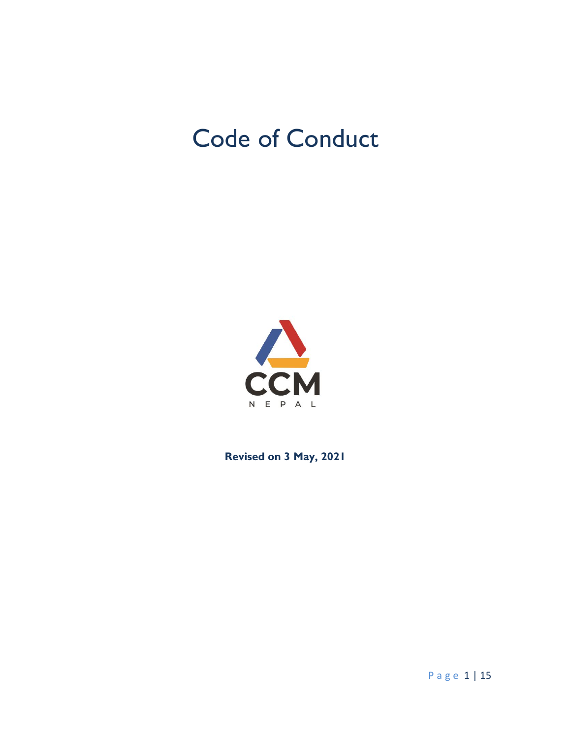# Code of Conduct



**Revised on 3 May, 2021**

P a g e 1 | 15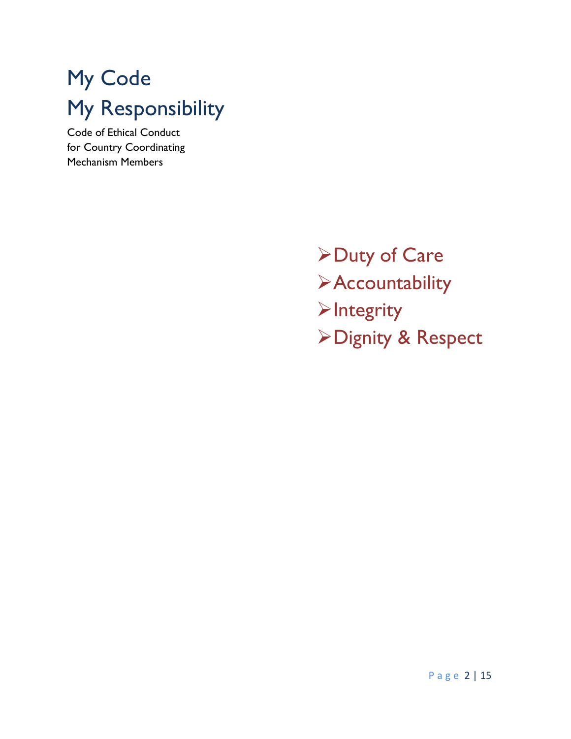# My Code My Responsibility

Code of Ethical Conduct for Country Coordinating Mechanism Members

> Duty of Care **>Accountability**  $\blacktriangleright$ Integrity Dignity & Respect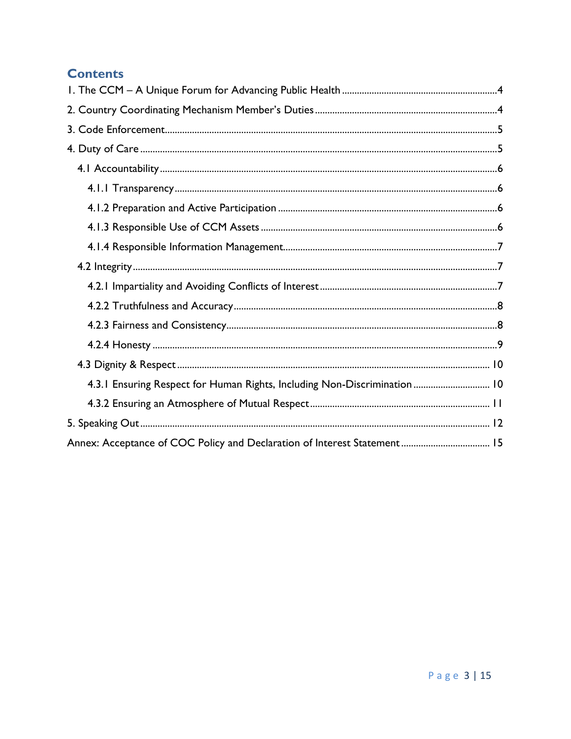# **Contents**

| 4.3.1 Ensuring Respect for Human Rights, Including Non-Discrimination  10 |
|---------------------------------------------------------------------------|
|                                                                           |
|                                                                           |
|                                                                           |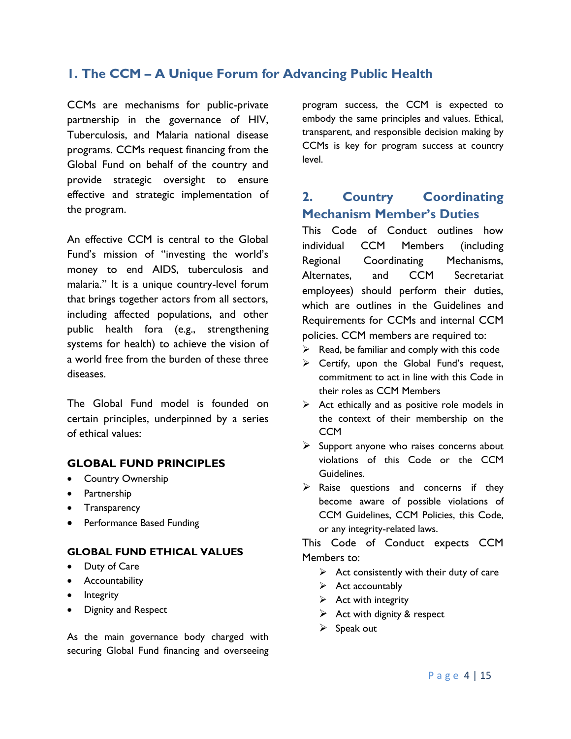## <span id="page-3-0"></span>**1. The CCM – A Unique Forum for Advancing Public Health**

CCMs are mechanisms for public-private partnership in the governance of HIV, Tuberculosis, and Malaria national disease programs. CCMs request financing from the Global Fund on behalf of the country and provide strategic oversight to ensure effective and strategic implementation of the program.

An effective CCM is central to the Global Fund's mission of "investing the world's money to end AIDS, tuberculosis and malaria." It is a unique country-level forum that brings together actors from all sectors, including affected populations, and other public health fora (e.g., strengthening systems for health) to achieve the vision of a world free from the burden of these three diseases.

The Global Fund model is founded on certain principles, underpinned by a series of ethical values:

## **GLOBAL FUND PRINCIPLES**

- Country Ownership
- Partnership
- Transparency
- Performance Based Funding

#### **GLOBAL FUND ETHICAL VALUES**

- Duty of Care
- Accountability
- Integrity
- Dignity and Respect

As the main governance body charged with securing Global Fund financing and overseeing program success, the CCM is expected to embody the same principles and values. Ethical, transparent, and responsible decision making by CCMs is key for program success at country level.

## <span id="page-3-1"></span>**2. Country Coordinating Mechanism Member's Duties**

This Code of Conduct outlines how individual CCM Members (including Regional Coordinating Mechanisms, Alternates, and CCM Secretariat employees) should perform their duties, which are outlines in the Guidelines and Requirements for CCMs and internal CCM policies. CCM members are required to:

- $\triangleright$  Read, be familiar and comply with this code
- $\triangleright$  Certify, upon the Global Fund's request, commitment to act in line with this Code in their roles as CCM Members
- $\triangleright$  Act ethically and as positive role models in the context of their membership on the **CCM**
- $\triangleright$  Support anyone who raises concerns about violations of this Code or the CCM Guidelines.
- $\triangleright$  Raise questions and concerns if they become aware of possible violations of CCM Guidelines, CCM Policies, this Code, or any integrity-related laws.

This Code of Conduct expects CCM Members to:

- $\triangleright$  Act consistently with their duty of care
- $\triangleright$  Act accountably
- $\triangleright$  Act with integrity
- $\triangleright$  Act with dignity & respect
- $\triangleright$  Speak out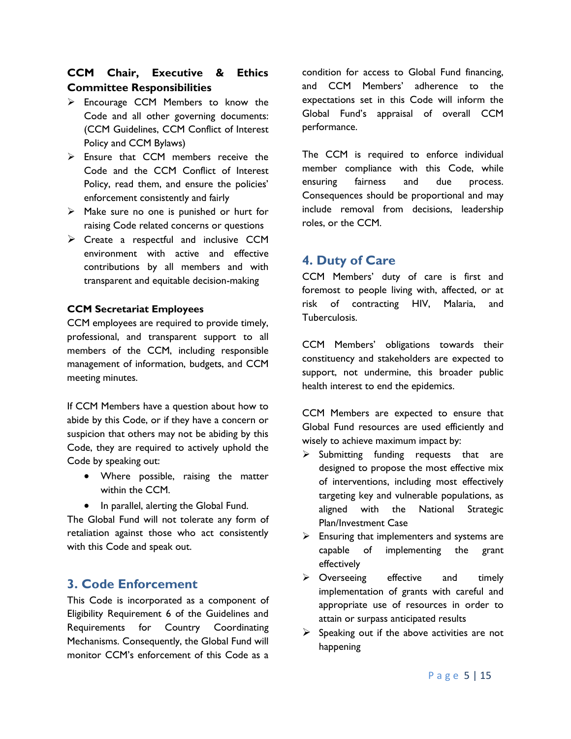## **CCM Chair, Executive & Ethics Committee Responsibilities**

- $\triangleright$  Encourage CCM Members to know the Code and all other governing documents: (CCM Guidelines, CCM Conflict of Interest Policy and CCM Bylaws)
- $\triangleright$  Ensure that CCM members receive the Code and the CCM Conflict of Interest Policy, read them, and ensure the policies' enforcement consistently and fairly
- $\triangleright$  Make sure no one is punished or hurt for raising Code related concerns or questions
- $\triangleright$  Create a respectful and inclusive CCM environment with active and effective contributions by all members and with transparent and equitable decision-making

## **CCM Secretariat Employees**

CCM employees are required to provide timely, professional, and transparent support to all members of the CCM, including responsible management of information, budgets, and CCM meeting minutes.

If CCM Members have a question about how to abide by this Code, or if they have a concern or suspicion that others may not be abiding by this Code, they are required to actively uphold the Code by speaking out:

- Where possible, raising the matter within the CCM.
- In parallel, alerting the Global Fund.

The Global Fund will not tolerate any form of retaliation against those who act consistently with this Code and speak out.

## <span id="page-4-0"></span>**3. Code Enforcement**

This Code is incorporated as a component of Eligibility Requirement 6 of the Guidelines and Requirements for Country Coordinating Mechanisms. Consequently, the Global Fund will monitor CCM's enforcement of this Code as a

condition for access to Global Fund financing, and CCM Members' adherence to the expectations set in this Code will inform the Global Fund's appraisal of overall CCM performance.

The CCM is required to enforce individual member compliance with this Code, while ensuring fairness and due process. Consequences should be proportional and may include removal from decisions, leadership roles, or the CCM.

## <span id="page-4-1"></span>**4. Duty of Care**

CCM Members' duty of care is first and foremost to people living with, affected, or at risk of contracting HIV, Malaria, and Tuberculosis.

CCM Members' obligations towards their constituency and stakeholders are expected to support, not undermine, this broader public health interest to end the epidemics.

CCM Members are expected to ensure that Global Fund resources are used efficiently and wisely to achieve maximum impact by:

- $\triangleright$  Submitting funding requests that are designed to propose the most effective mix of interventions, including most effectively targeting key and vulnerable populations, as aligned with the National Strategic Plan/Investment Case
- $\triangleright$  Ensuring that implementers and systems are capable of implementing the grant effectively
- > Overseeing effective and timely implementation of grants with careful and appropriate use of resources in order to attain or surpass anticipated results
- $\triangleright$  Speaking out if the above activities are not happening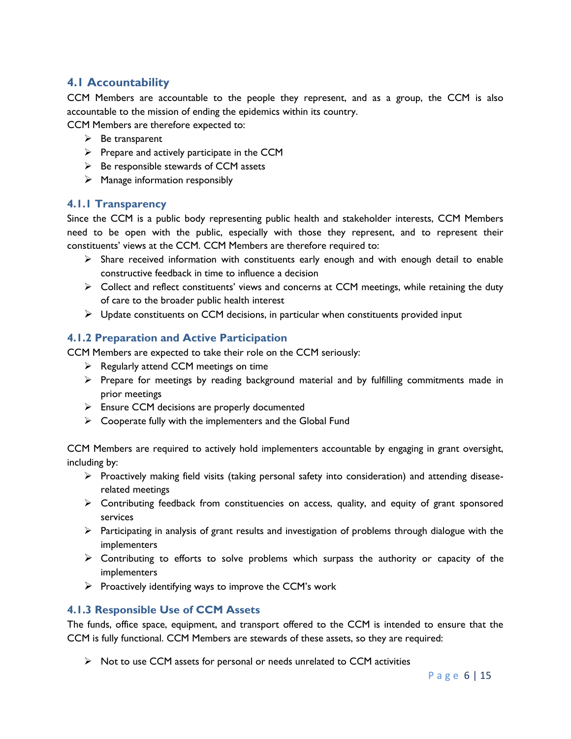## <span id="page-5-0"></span>**4.1 Accountability**

CCM Members are accountable to the people they represent, and as a group, the CCM is also accountable to the mission of ending the epidemics within its country.

CCM Members are therefore expected to:

- $\triangleright$  Be transparent
- $\triangleright$  Prepare and actively participate in the CCM
- $\triangleright$  Be responsible stewards of CCM assets
- $\triangleright$  Manage information responsibly

## <span id="page-5-1"></span>**4.1.1 Transparency**

Since the CCM is a public body representing public health and stakeholder interests, CCM Members need to be open with the public, especially with those they represent, and to represent their constituents' views at the CCM. CCM Members are therefore required to:

- $\triangleright$  Share received information with constituents early enough and with enough detail to enable constructive feedback in time to influence a decision
- $\triangleright$  Collect and reflect constituents' views and concerns at CCM meetings, while retaining the duty of care to the broader public health interest
- $\triangleright$  Update constituents on CCM decisions, in particular when constituents provided input

## <span id="page-5-2"></span>**4.1.2 Preparation and Active Participation**

CCM Members are expected to take their role on the CCM seriously:

- $\triangleright$  Regularly attend CCM meetings on time
- $\triangleright$  Prepare for meetings by reading background material and by fulfilling commitments made in prior meetings
- $\triangleright$  Ensure CCM decisions are properly documented
- $\triangleright$  Cooperate fully with the implementers and the Global Fund

CCM Members are required to actively hold implementers accountable by engaging in grant oversight, including by:

- $\triangleright$  Proactively making field visits (taking personal safety into consideration) and attending diseaserelated meetings
- $\triangleright$  Contributing feedback from constituencies on access, quality, and equity of grant sponsored services
- $\triangleright$  Participating in analysis of grant results and investigation of problems through dialogue with the implementers
- $\triangleright$  Contributing to efforts to solve problems which surpass the authority or capacity of the implementers
- $\triangleright$  Proactively identifying ways to improve the CCM's work

## <span id="page-5-3"></span>**4.1.3 Responsible Use of CCM Assets**

The funds, office space, equipment, and transport offered to the CCM is intended to ensure that the CCM is fully functional. CCM Members are stewards of these assets, so they are required:

 $\triangleright$  Not to use CCM assets for personal or needs unrelated to CCM activities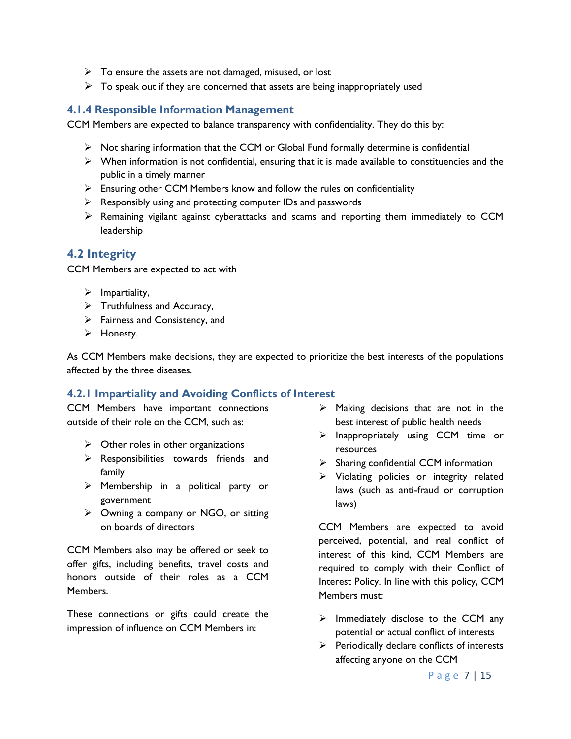- $\triangleright$  To ensure the assets are not damaged, misused, or lost
- $\triangleright$  To speak out if they are concerned that assets are being inappropriately used

## <span id="page-6-0"></span>**4.1.4 Responsible Information Management**

CCM Members are expected to balance transparency with confidentiality. They do this by:

- $\triangleright$  Not sharing information that the CCM or Global Fund formally determine is confidential
- $\triangleright$  When information is not confidential, ensuring that it is made available to constituencies and the public in a timely manner
- $\triangleright$  Ensuring other CCM Members know and follow the rules on confidentiality
- $\triangleright$  Responsibly using and protecting computer IDs and passwords
- $\triangleright$  Remaining vigilant against cyberattacks and scams and reporting them immediately to CCM leadership

## <span id="page-6-1"></span>**4.2 Integrity**

CCM Members are expected to act with

- $\triangleright$  Impartiality,
- $\triangleright$  Truthfulness and Accuracy,
- $\triangleright$  Fairness and Consistency, and
- > Honesty.

As CCM Members make decisions, they are expected to prioritize the best interests of the populations affected by the three diseases.

## <span id="page-6-2"></span>**4.2.1 Impartiality and Avoiding Conflicts of Interest**

CCM Members have important connections outside of their role on the CCM, such as:

- $\triangleright$  Other roles in other organizations
- $\triangleright$  Responsibilities towards friends and family
- $\triangleright$  Membership in a political party or government
- $\triangleright$  Owning a company or NGO, or sitting on boards of directors

CCM Members also may be offered or seek to offer gifts, including benefits, travel costs and honors outside of their roles as a CCM Members.

These connections or gifts could create the impression of influence on CCM Members in:

- $\triangleright$  Making decisions that are not in the best interest of public health needs
- $\triangleright$  Inappropriately using CCM time or resources
- $\triangleright$  Sharing confidential CCM information
- $\triangleright$  Violating policies or integrity related laws (such as anti-fraud or corruption laws)

CCM Members are expected to avoid perceived, potential, and real conflict of interest of this kind, CCM Members are required to comply with their Conflict of Interest Policy. In line with this policy, CCM Members must:

- $\triangleright$  Immediately disclose to the CCM any potential or actual conflict of interests
- $\triangleright$  Periodically declare conflicts of interests affecting anyone on the CCM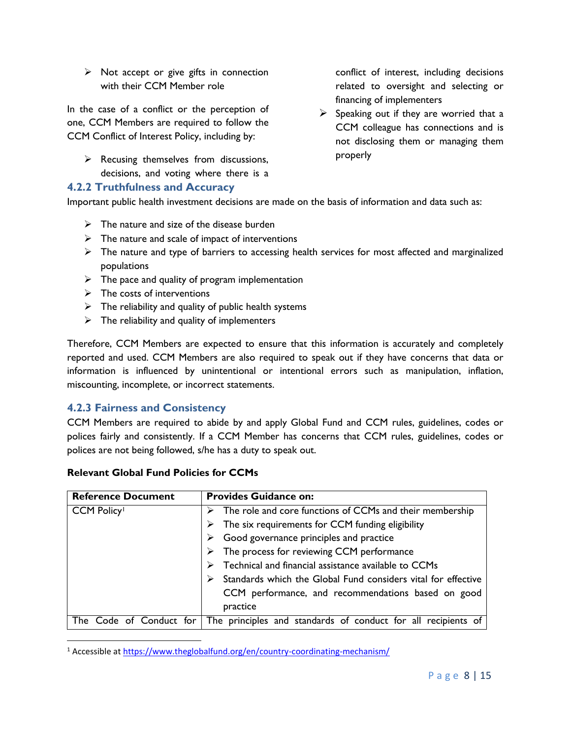$\triangleright$  Not accept or give gifts in connection with their CCM Member role

In the case of a conflict or the perception of one, CCM Members are required to follow the CCM Conflict of Interest Policy, including by:

 $\triangleright$  Recusing themselves from discussions, decisions, and voting where there is a

## <span id="page-7-0"></span>**4.2.2 Truthfulness and Accuracy**

conflict of interest, including decisions related to oversight and selecting or financing of implementers

 $\triangleright$  Speaking out if they are worried that a CCM colleague has connections and is not disclosing them or managing them properly

Important public health investment decisions are made on the basis of information and data such as:

- $\triangleright$  The nature and size of the disease burden
- $\triangleright$  The nature and scale of impact of interventions
- $\triangleright$  The nature and type of barriers to accessing health services for most affected and marginalized populations
- $\triangleright$  The pace and quality of program implementation
- $\triangleright$  The costs of interventions
- $\triangleright$  The reliability and quality of public health systems
- $\triangleright$  The reliability and quality of implementers

Therefore, CCM Members are expected to ensure that this information is accurately and completely reported and used. CCM Members are also required to speak out if they have concerns that data or information is influenced by unintentional or intentional errors such as manipulation, inflation, miscounting, incomplete, or incorrect statements.

## <span id="page-7-1"></span>**4.2.3 Fairness and Consistency**

 $\overline{a}$ 

CCM Members are required to abide by and apply Global Fund and CCM rules, guidelines, codes or polices fairly and consistently. If a CCM Member has concerns that CCM rules, guidelines, codes or polices are not being followed, s/he has a duty to speak out.

| <b>Reference Document</b>   | <b>Provides Guidance on:</b>                                      |
|-----------------------------|-------------------------------------------------------------------|
| <b>CCM Policy</b>           | The role and core functions of CCMs and their membership          |
|                             | $\triangleright$ The six requirements for CCM funding eligibility |
|                             | Good governance principles and practice                           |
|                             | $\triangleright$ The process for reviewing CCM performance        |
|                             | Technical and financial assistance available to CCMs              |
|                             | Standards which the Global Fund considers vital for effective     |
|                             | CCM performance, and recommendations based on good                |
|                             | practice                                                          |
| Code of Conduct for<br>l he | The principles and standards of conduct for all recipients of     |

#### **Relevant Global Fund Policies for CCMs**

<sup>1</sup> Accessible at<https://www.theglobalfund.org/en/country-coordinating-mechanism/>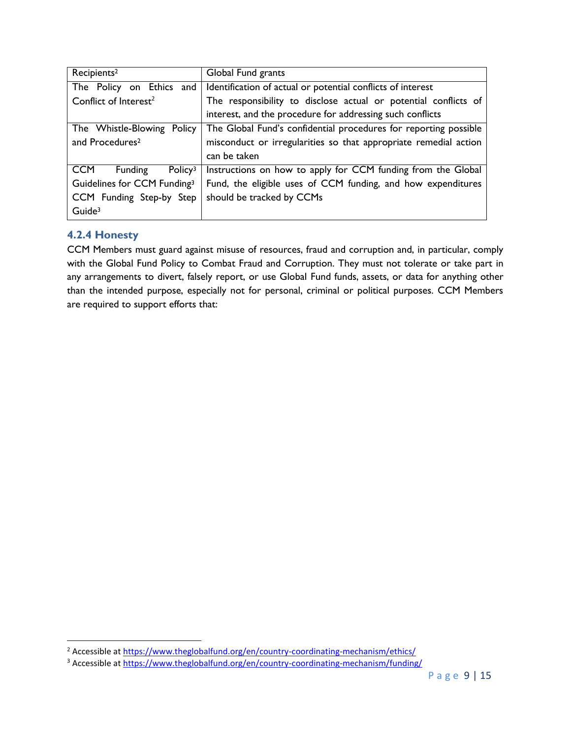| Recipients <sup>2</sup>                      | Global Fund grants                                               |
|----------------------------------------------|------------------------------------------------------------------|
| The Policy on Ethics and                     | Identification of actual or potential conflicts of interest      |
| Conflict of Interest <sup>2</sup>            | The responsibility to disclose actual or potential conflicts of  |
|                                              | interest, and the procedure for addressing such conflicts        |
| The Whistle-Blowing Policy                   | The Global Fund's confidential procedures for reporting possible |
| and Procedures <sup>2</sup>                  | misconduct or irregularities so that appropriate remedial action |
|                                              | can be taken                                                     |
| Funding<br><b>CCM</b><br>Policy <sup>3</sup> | Instructions on how to apply for CCM funding from the Global     |
| Guidelines for CCM Funding <sup>3</sup>      | Fund, the eligible uses of CCM funding, and how expenditures     |
| CCM Funding Step-by Step                     | should be tracked by CCMs                                        |
| Guide <sup>3</sup>                           |                                                                  |

## <span id="page-8-0"></span>**4.2.4 Honesty**

 $\overline{a}$ 

CCM Members must guard against misuse of resources, fraud and corruption and, in particular, comply with the Global Fund Policy to Combat Fraud and Corruption. They must not tolerate or take part in any arrangements to divert, falsely report, or use Global Fund funds, assets, or data for anything other than the intended purpose, especially not for personal, criminal or political purposes. CCM Members are required to support efforts that:

<sup>&</sup>lt;sup>2</sup> Accessible at https://www.theglobalfund.org/en/country-coordinating-mechanism/ethics/

<sup>&</sup>lt;sup>3</sup> Accessible at https://www.theglobalfund.org/en/country-coordinating-mechanism/funding/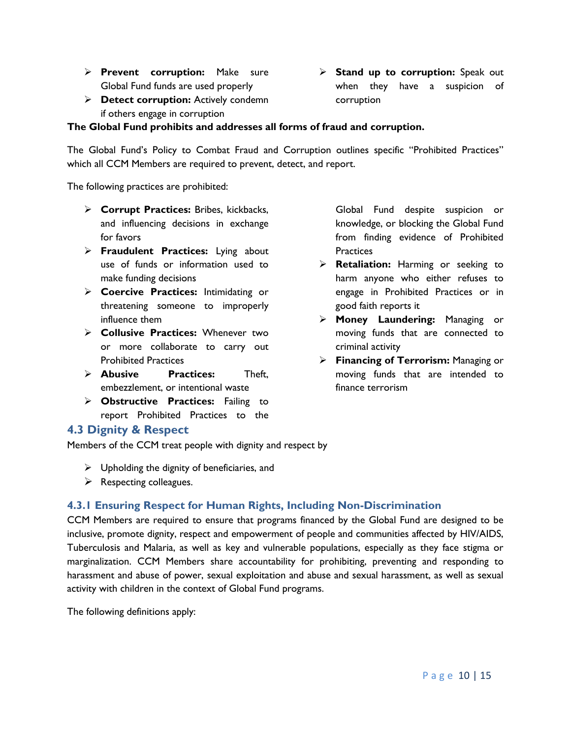- **Prevent corruption:** Make sure Global Fund funds are used properly
- **Detect corruption:** Actively condemn if others engage in corruption

#### **The Global Fund prohibits and addresses all forms of fraud and corruption.**

The Global Fund's Policy to Combat Fraud and Corruption outlines specific "Prohibited Practices" which all CCM Members are required to prevent, detect, and report.

The following practices are prohibited:

- **Corrupt Practices:** Bribes, kickbacks, and influencing decisions in exchange for favors
- **Fraudulent Practices:** Lying about use of funds or information used to make funding decisions
- **Coercive Practices:** Intimidating or threatening someone to improperly influence them
- **Collusive Practices:** Whenever two or more collaborate to carry out Prohibited Practices
- **Abusive Practices:** Theft, embezzlement, or intentional waste
- **Obstructive Practices:** Failing to report Prohibited Practices to the

Global Fund despite suspicion or knowledge, or blocking the Global Fund from finding evidence of Prohibited **Practices** 

- **Retaliation:** Harming or seeking to harm anyone who either refuses to engage in Prohibited Practices or in good faith reports it
- **Money Laundering:** Managing or moving funds that are connected to criminal activity
- **Financing of Terrorism:** Managing or moving funds that are intended to finance terrorism

## <span id="page-9-0"></span>**4.3 Dignity & Respect**

Members of the CCM treat people with dignity and respect by

- $\triangleright$  Upholding the dignity of beneficiaries, and
- $\triangleright$  Respecting colleagues.

## <span id="page-9-1"></span>**4.3.1 Ensuring Respect for Human Rights, Including Non-Discrimination**

CCM Members are required to ensure that programs financed by the Global Fund are designed to be inclusive, promote dignity, respect and empowerment of people and communities affected by HIV/AIDS, Tuberculosis and Malaria, as well as key and vulnerable populations, especially as they face stigma or marginalization. CCM Members share accountability for prohibiting, preventing and responding to harassment and abuse of power, sexual exploitation and abuse and sexual harassment, as well as sexual activity with children in the context of Global Fund programs.

The following definitions apply:

**Stand up to corruption:** Speak out when they have a suspicion of corruption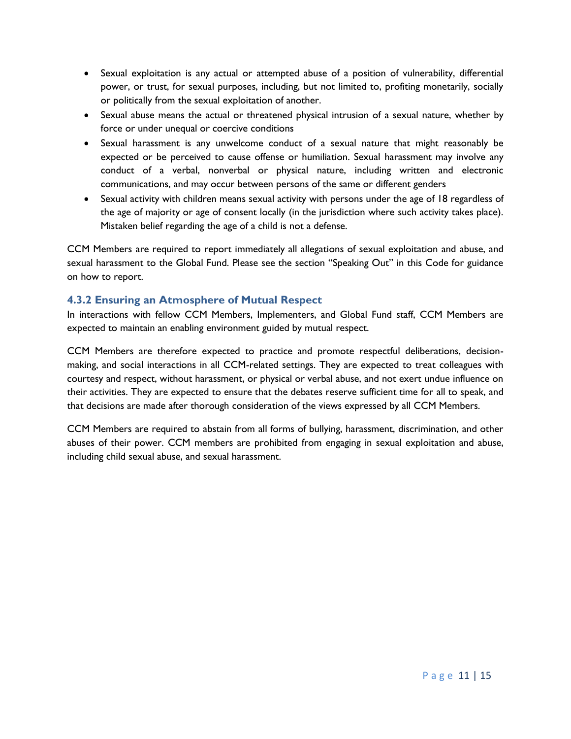- Sexual exploitation is any actual or attempted abuse of a position of vulnerability, differential power, or trust, for sexual purposes, including, but not limited to, profiting monetarily, socially or politically from the sexual exploitation of another.
- Sexual abuse means the actual or threatened physical intrusion of a sexual nature, whether by force or under unequal or coercive conditions
- Sexual harassment is any unwelcome conduct of a sexual nature that might reasonably be expected or be perceived to cause offense or humiliation. Sexual harassment may involve any conduct of a verbal, nonverbal or physical nature, including written and electronic communications, and may occur between persons of the same or different genders
- Sexual activity with children means sexual activity with persons under the age of 18 regardless of the age of majority or age of consent locally (in the jurisdiction where such activity takes place). Mistaken belief regarding the age of a child is not a defense.

CCM Members are required to report immediately all allegations of sexual exploitation and abuse, and sexual harassment to the Global Fund. Please see the section "Speaking Out" in this Code for guidance on how to report.

## <span id="page-10-0"></span>**4.3.2 Ensuring an Atmosphere of Mutual Respect**

In interactions with fellow CCM Members, Implementers, and Global Fund staff, CCM Members are expected to maintain an enabling environment guided by mutual respect.

CCM Members are therefore expected to practice and promote respectful deliberations, decisionmaking, and social interactions in all CCM-related settings. They are expected to treat colleagues with courtesy and respect, without harassment, or physical or verbal abuse, and not exert undue influence on their activities. They are expected to ensure that the debates reserve sufficient time for all to speak, and that decisions are made after thorough consideration of the views expressed by all CCM Members.

CCM Members are required to abstain from all forms of bullying, harassment, discrimination, and other abuses of their power. CCM members are prohibited from engaging in sexual exploitation and abuse, including child sexual abuse, and sexual harassment.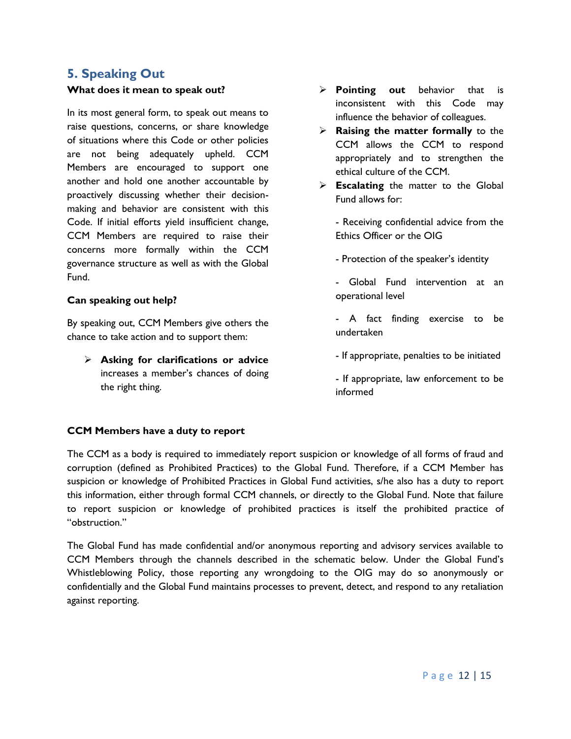## <span id="page-11-0"></span>**5. Speaking Out**

#### **What does it mean to speak out?**

In its most general form, to speak out means to raise questions, concerns, or share knowledge of situations where this Code or other policies are not being adequately upheld. CCM Members are encouraged to support one another and hold one another accountable by proactively discussing whether their decisionmaking and behavior are consistent with this Code. If initial efforts yield insufficient change, CCM Members are required to raise their concerns more formally within the CCM governance structure as well as with the Global Fund.

#### **Can speaking out help?**

By speaking out, CCM Members give others the chance to take action and to support them:

 **Asking for clarifications or advice** increases a member's chances of doing the right thing.

- **Pointing out** behavior that is inconsistent with this Code may influence the behavior of colleagues.
- **Raising the matter formally** to the CCM allows the CCM to respond appropriately and to strengthen the ethical culture of the CCM.
- **Escalating** the matter to the Global Fund allows for:
	- Receiving confidential advice from the Ethics Officer or the OIG
	- Protection of the speaker's identity
	- Global Fund intervention at an operational level
	- A fact finding exercise to be undertaken
	- If appropriate, penalties to be initiated
	- If appropriate, law enforcement to be informed

#### **CCM Members have a duty to report**

The CCM as a body is required to immediately report suspicion or knowledge of all forms of fraud and corruption (defined as Prohibited Practices) to the Global Fund. Therefore, if a CCM Member has suspicion or knowledge of Prohibited Practices in Global Fund activities, s/he also has a duty to report this information, either through formal CCM channels, or directly to the Global Fund. Note that failure to report suspicion or knowledge of prohibited practices is itself the prohibited practice of "obstruction."

The Global Fund has made confidential and/or anonymous reporting and advisory services available to CCM Members through the channels described in the schematic below. Under the Global Fund's Whistleblowing Policy, those reporting any wrongdoing to the OIG may do so anonymously or confidentially and the Global Fund maintains processes to prevent, detect, and respond to any retaliation against reporting.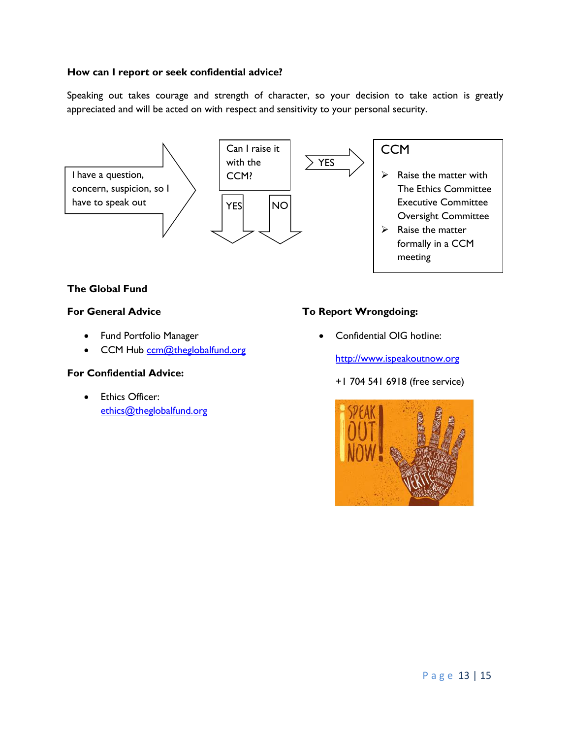## **How can I report or seek confidential advice?**

Speaking out takes courage and strength of character, so your decision to take action is greatly appreciated and will be acted on with respect and sensitivity to your personal security.



## **The Global Fund**

#### **For General Advice**

- Fund Portfolio Manager
- CCM Hub [ccm@theglobalfund.org](mailto:ccm@theglobalfund.org)

#### **For Confidential Advice:**

**•** Ethics Officer: [ethics@theglobalfund.org](mailto:ethics@theglobalfund.org)

## **To Report Wrongdoing:**

Confidential OIG hotline:

[http://www.ispeakoutnow.org](http://www.ispeakoutnow.org/)

#### +1 704 541 6918 (free service)

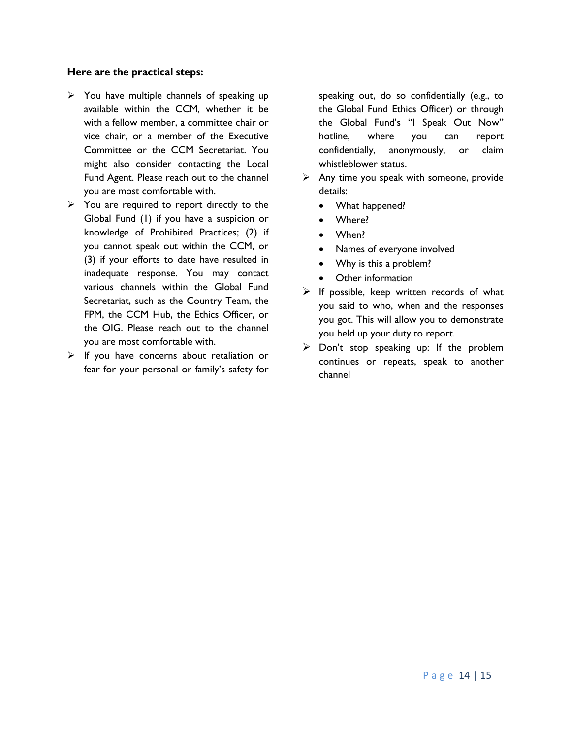#### **Here are the practical steps:**

- $\triangleright$  You have multiple channels of speaking up available within the CCM, whether it be with a fellow member, a committee chair or vice chair, or a member of the Executive Committee or the CCM Secretariat. You might also consider contacting the Local Fund Agent. Please reach out to the channel you are most comfortable with.
- $\triangleright$  You are required to report directly to the Global Fund (1) if you have a suspicion or knowledge of Prohibited Practices; (2) if you cannot speak out within the CCM, or (3) if your efforts to date have resulted in inadequate response. You may contact various channels within the Global Fund Secretariat, such as the Country Team, the FPM, the CCM Hub, the Ethics Officer, or the OIG. Please reach out to the channel you are most comfortable with.
- $\triangleright$  If you have concerns about retaliation or fear for your personal or family's safety for

speaking out, do so confidentially (e.g., to the Global Fund Ethics Officer) or through the Global Fund's "I Speak Out Now" hotline, where you can report confidentially, anonymously, or claim whistleblower status.

- $\triangleright$  Any time you speak with someone, provide details:
	- What happened?
	- Where?
	- When?
	- Names of everyone involved
	- Why is this a problem?
	- Other information
- $\triangleright$  If possible, keep written records of what you said to who, when and the responses you got. This will allow you to demonstrate you held up your duty to report.
- $\triangleright$  Don't stop speaking up: If the problem continues or repeats, speak to another channel